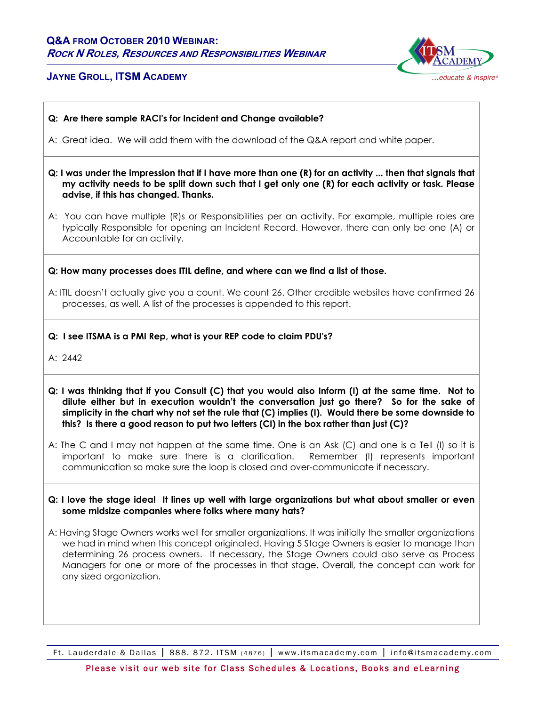# **Q&A FROM OCTOBER 2010 WEBINAR: ROCK N ROLES, RESOURCES AND RESPONSIBILITIES WEBINAR**

# **JAYNE GROLL, ITSM ACADEMY**



- **Q: Are there sample RACI's for Incident and Change available?**
- A: Great idea. We will add them with the download of the Q&A report and white paper.
- **Q: I was under the impression that if I have more than one (R) for an activity ... then that signals that my activity needs to be split down such that I get only one (R) for each activity or task. Please advise, if this has changed. Thanks.**
- A: You can have multiple (R)s or Responsibilities per an activity. For example, multiple roles are typically Responsible for opening an Incident Record. However, there can only be one (A) or Accountable for an activity.

**Q: How many processes does ITIL define, and where can we find a list of those.** 

A: ITIL doesn't actually give you a count. We count 26. Other credible websites have confirmed 26 processes, as well. A list of the processes is appended to this report.

**Q: I see ITSMA is a PMI Rep, what is your REP code to claim PDU's?** 

A: 2442

- **Q: I was thinking that if you Consult (C) that you would also Inform (I) at the same time. Not to dilute either but in execution wouldn't the conversation just go there? So for the sake of simplicity in the chart why not set the rule that (C) implies (I). Would there be some downside to this? Is there a good reason to put two letters (CI) in the box rather than just (C)?**
- A: The C and I may not happen at the same time. One is an Ask (C) and one is a Tell (I) so it is important to make sure there is a clarification. Remember (I) represents important communication so make sure the loop is closed and over-communicate if necessary.
- **Q: I love the stage idea! It lines up well with large organizations but what about smaller or even some midsize companies where folks where many hats?**
- A: Having Stage Owners works well for smaller organizations. It was initially the smaller organizations we had in mind when this concept originated. Having 5 Stage Owners is easier to manage than determining 26 process owners. If necessary, the Stage Owners could also serve as Process Managers for one or more of the processes in that stage. Overall, the concept can work for any sized organization.

Ft. Lauderdale & Dallas | 888. 872. ITSM (4876) | www.itsmacademy.com | info@itsmacademy.com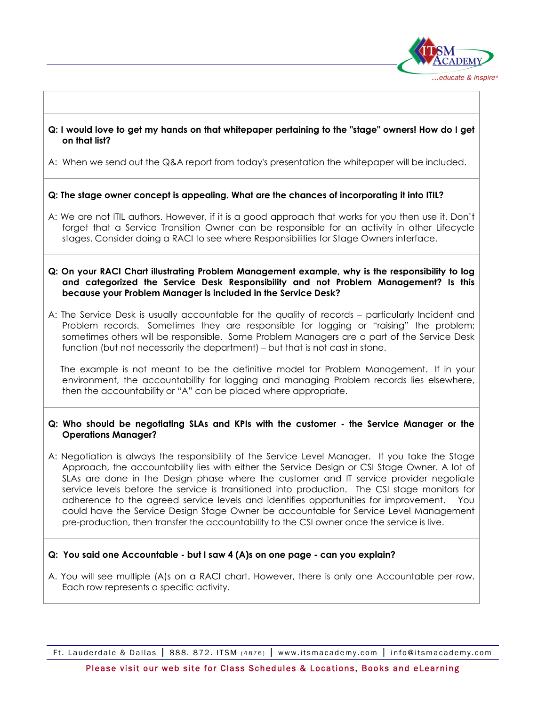

## **Q: I would love to get my hands on that whitepaper pertaining to the "stage" owners! How do I get on that list?**

A: When we send out the Q&A report from today's presentation the whitepaper will be included.

## **Q: The stage owner concept is appealing. What are the chances of incorporating it into ITIL?**

A: We are not ITIL authors. However, if it is a good approach that works for you then use it. Don't forget that a Service Transition Owner can be responsible for an activity in other Lifecycle stages. Consider doing a RACI to see where Responsibilities for Stage Owners interface.

#### **Q: On your RACI Chart illustrating Problem Management example, why is the responsibility to log and categorized the Service Desk Responsibility and not Problem Management? Is this because your Problem Manager is included in the Service Desk?**

A: The Service Desk is usually accountable for the quality of records – particularly Incident and Problem records. Sometimes they are responsible for logging or "raising" the problem; sometimes others will be responsible. Some Problem Managers are a part of the Service Desk function (but not necessarily the department) – but that is not cast in stone.

 The example is not meant to be the definitive model for Problem Management. If in your environment, the accountability for logging and managing Problem records lies elsewhere, then the accountability or "A" can be placed where appropriate.

### **Q: Who should be negotiating SLAs and KPIs with the customer - the Service Manager or the Operations Manager?**

A: Negotiation is always the responsibility of the Service Level Manager. If you take the Stage Approach, the accountability lies with either the Service Design or CSI Stage Owner. A lot of SLAs are done in the Design phase where the customer and IT service provider negotiate service levels before the service is transitioned into production. The CSI stage monitors for adherence to the agreed service levels and identifies opportunities for improvement. You could have the Service Design Stage Owner be accountable for Service Level Management pre-production, then transfer the accountability to the CSI owner once the service is live.

### **Q: You said one Accountable - but I saw 4 (A)s on one page - can you explain?**

A. You will see multiple (A)s on a RACI chart. However, there is only one Accountable per row. Each row represents a specific activity.

Ft. Lauderdale & Dallas | 888. 872. ITSM (4876) | www.itsmacademy.com | info@itsmacademy.com